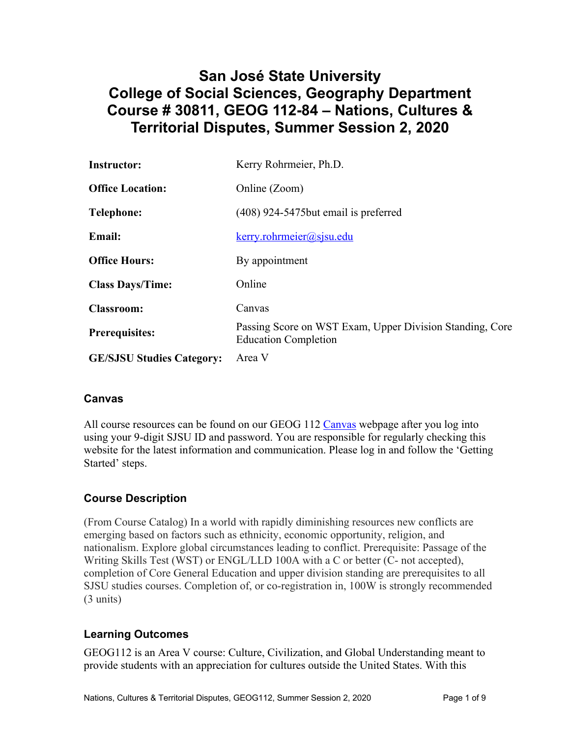# **San José State University College of Social Sciences, Geography Department Course # 30811, GEOG 112-84 – Nations, Cultures & Territorial Disputes, Summer Session 2, 2020**

| <b>Instructor:</b>               | Kerry Rohrmeier, Ph.D.                                                                  |  |  |
|----------------------------------|-----------------------------------------------------------------------------------------|--|--|
| <b>Office Location:</b>          | Online (Zoom)                                                                           |  |  |
| <b>Telephone:</b>                | (408) 924-5475 but email is preferred                                                   |  |  |
| <b>Email:</b>                    | $k$ erry.rohrmeier@sjsu.edu                                                             |  |  |
| <b>Office Hours:</b>             | By appointment                                                                          |  |  |
| <b>Class Days/Time:</b>          | Online                                                                                  |  |  |
| <b>Classroom:</b>                | Canvas                                                                                  |  |  |
| <b>Prerequisites:</b>            | Passing Score on WST Exam, Upper Division Standing, Core<br><b>Education Completion</b> |  |  |
| <b>GE/SJSU Studies Category:</b> | Area V                                                                                  |  |  |

## **Canvas**

All course resources can be found on our GEOG 112 Canvas webpage after you log into using your 9-digit SJSU ID and password. You are responsible for regularly checking this website for the latest information and communication. Please log in and follow the 'Getting Started' steps.

# **Course Description**

(From Course Catalog) In a world with rapidly diminishing resources new conflicts are emerging based on factors such as ethnicity, economic opportunity, religion, and nationalism. Explore global circumstances leading to conflict. Prerequisite: Passage of the Writing Skills Test (WST) or ENGL/LLD 100A with a C or better (C- not accepted), completion of Core General Education and upper division standing are prerequisites to all SJSU studies courses. Completion of, or co-registration in, 100W is strongly recommended (3 units)

## **Learning Outcomes**

GEOG112 is an Area V course: Culture, Civilization, and Global Understanding meant to provide students with an appreciation for cultures outside the United States. With this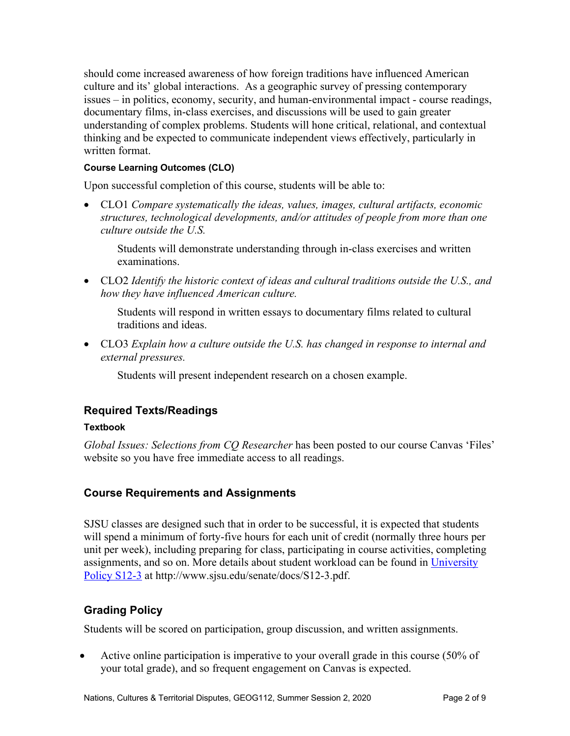should come increased awareness of how foreign traditions have influenced American culture and its' global interactions. As a geographic survey of pressing contemporary issues – in politics, economy, security, and human-environmental impact - course readings, documentary films, in-class exercises, and discussions will be used to gain greater understanding of complex problems. Students will hone critical, relational, and contextual thinking and be expected to communicate independent views effectively, particularly in written format.

#### **Course Learning Outcomes (CLO)**

Upon successful completion of this course, students will be able to:

• CLO1 *Compare systematically the ideas, values, images, cultural artifacts, economic structures, technological developments, and/or attitudes of people from more than one culture outside the U.S.*

Students will demonstrate understanding through in-class exercises and written examinations.

• CLO2 *Identify the historic context of ideas and cultural traditions outside the U.S., and how they have influenced American culture.*

Students will respond in written essays to documentary films related to cultural traditions and ideas.

• CLO3 *Explain how a culture outside the U.S. has changed in response to internal and external pressures.*

Students will present independent research on a chosen example.

# **Required Texts/Readings**

#### **Textbook**

*Global Issues: Selections from CQ Researcher* has been posted to our course Canvas 'Files' website so you have free immediate access to all readings.

## **Course Requirements and Assignments**

SJSU classes are designed such that in order to be successful, it is expected that students will spend a minimum of forty-five hours for each unit of credit (normally three hours per unit per week), including preparing for class, participating in course activities, completing assignments, and so on. More details about student workload can be found in University Policy S12-3 at http://www.sjsu.edu/senate/docs/S12-3.pdf.

# **Grading Policy**

Students will be scored on participation, group discussion, and written assignments.

• Active online participation is imperative to your overall grade in this course (50% of your total grade), and so frequent engagement on Canvas is expected.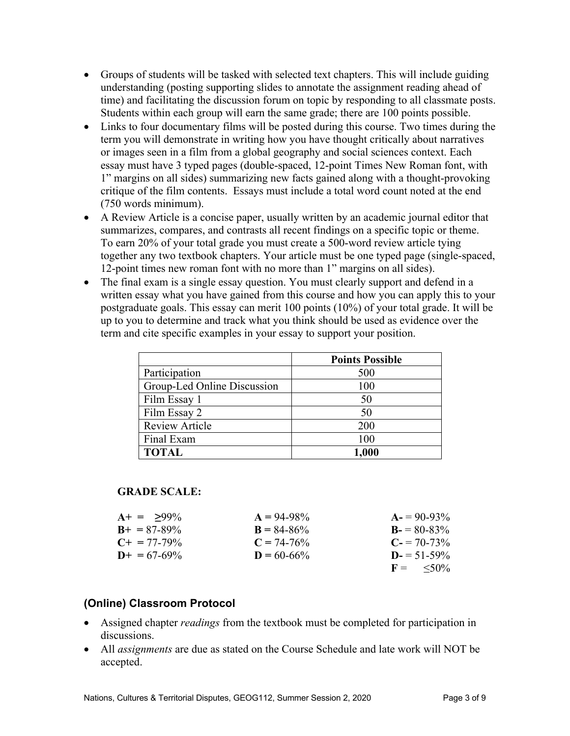- Groups of students will be tasked with selected text chapters. This will include guiding understanding (posting supporting slides to annotate the assignment reading ahead of time) and facilitating the discussion forum on topic by responding to all classmate posts. Students within each group will earn the same grade; there are 100 points possible.
- Links to four documentary films will be posted during this course. Two times during the term you will demonstrate in writing how you have thought critically about narratives or images seen in a film from a global geography and social sciences context. Each essay must have 3 typed pages (double-spaced, 12-point Times New Roman font, with 1" margins on all sides) summarizing new facts gained along with a thought-provoking critique of the film contents. Essays must include a total word count noted at the end (750 words minimum).
- A Review Article is a concise paper, usually written by an academic journal editor that summarizes, compares, and contrasts all recent findings on a specific topic or theme. To earn 20% of your total grade you must create a 500-word review article tying together any two textbook chapters. Your article must be one typed page (single-spaced, 12-point times new roman font with no more than 1" margins on all sides).
- The final exam is a single essay question. You must clearly support and defend in a written essay what you have gained from this course and how you can apply this to your postgraduate goals. This essay can merit 100 points (10%) of your total grade. It will be up to you to determine and track what you think should be used as evidence over the term and cite specific examples in your essay to support your position.

|                             | <b>Points Possible</b> |
|-----------------------------|------------------------|
| Participation               | 500                    |
| Group-Led Online Discussion | 100                    |
| Film Essay 1                | 50                     |
| Film Essay 2                | 50                     |
| <b>Review Article</b>       | 200                    |
| Final Exam                  | 100                    |
| <b>TOTAL</b>                | 1,000                  |

## **GRADE SCALE:**

| $A+ = 99\%$           | $A = 94-98\%$   | $A = 90-93\%$        |
|-----------------------|-----------------|----------------------|
| $B_{+} = 87 - 89\%$   | $B = 84 - 86\%$ | $B = 80-83\%$        |
| $C_{\pm} = 77 - 79\%$ | $C = 74-76%$    | $C = 70-73\%$        |
| $D_{+} = 67 - 69\%$   | $D = 60-66%$    | $D = 51 - 59\%$      |
|                       |                 | $F = \frac{50\%}{6}$ |

## **(Online) Classroom Protocol**

- Assigned chapter *readings* from the textbook must be completed for participation in discussions.
- All *assignments* are due as stated on the Course Schedule and late work will NOT be accepted.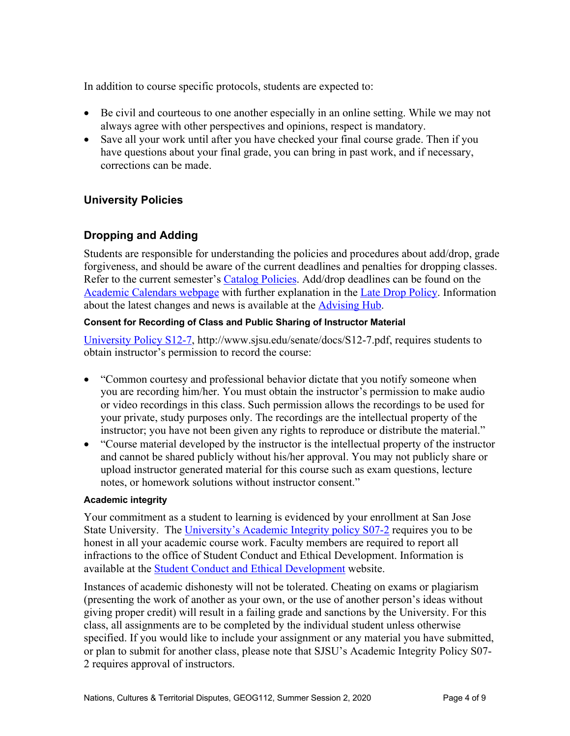In addition to course specific protocols, students are expected to:

- Be civil and courteous to one another especially in an online setting. While we may not always agree with other perspectives and opinions, respect is mandatory.
- Save all your work until after you have checked your final course grade. Then if you have questions about your final grade, you can bring in past work, and if necessary, corrections can be made.

## **University Policies**

## **Dropping and Adding**

Students are responsible for understanding the policies and procedures about add/drop, grade forgiveness, and should be aware of the current deadlines and penalties for dropping classes. Refer to the current semester's Catalog Policies. Add/drop deadlines can be found on the Academic Calendars webpage with further explanation in the Late Drop Policy. Information about the latest changes and news is available at the **Advising Hub**.

#### **Consent for Recording of Class and Public Sharing of Instructor Material**

University Policy S12-7, http://www.sjsu.edu/senate/docs/S12-7.pdf, requires students to obtain instructor's permission to record the course:

- "Common courtesy and professional behavior dictate that you notify someone when you are recording him/her. You must obtain the instructor's permission to make audio or video recordings in this class. Such permission allows the recordings to be used for your private, study purposes only. The recordings are the intellectual property of the instructor; you have not been given any rights to reproduce or distribute the material."
- "Course material developed by the instructor is the intellectual property of the instructor and cannot be shared publicly without his/her approval. You may not publicly share or upload instructor generated material for this course such as exam questions, lecture notes, or homework solutions without instructor consent."

#### **Academic integrity**

Your commitment as a student to learning is evidenced by your enrollment at San Jose State University. The University's Academic Integrity policy S07-2 requires you to be honest in all your academic course work. Faculty members are required to report all infractions to the office of Student Conduct and Ethical Development. Information is available at the Student Conduct and Ethical Development website.

Instances of academic dishonesty will not be tolerated. Cheating on exams or plagiarism (presenting the work of another as your own, or the use of another person's ideas without giving proper credit) will result in a failing grade and sanctions by the University. For this class, all assignments are to be completed by the individual student unless otherwise specified. If you would like to include your assignment or any material you have submitted, or plan to submit for another class, please note that SJSU's Academic Integrity Policy S07- 2 requires approval of instructors.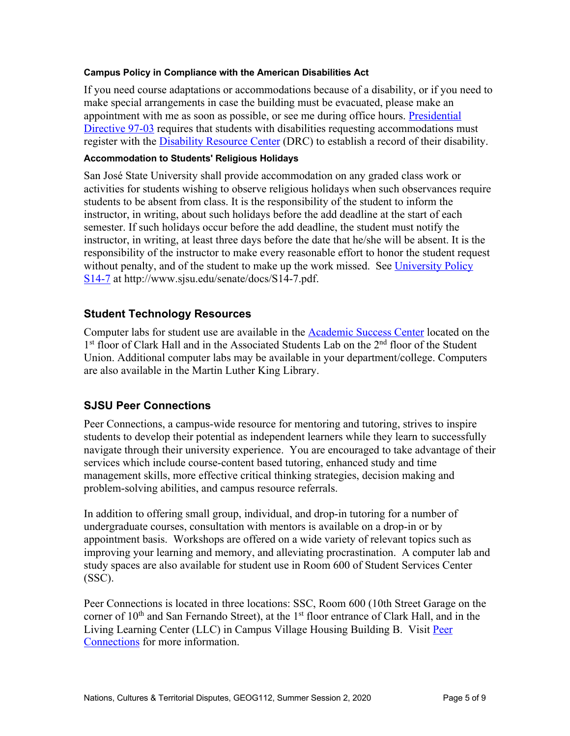#### **Campus Policy in Compliance with the American Disabilities Act**

If you need course adaptations or accommodations because of a disability, or if you need to make special arrangements in case the building must be evacuated, please make an appointment with me as soon as possible, or see me during office hours. Presidential Directive 97-03 requires that students with disabilities requesting accommodations must register with the Disability Resource Center (DRC) to establish a record of their disability.

#### **Accommodation to Students' Religious Holidays**

San José State University shall provide accommodation on any graded class work or activities for students wishing to observe religious holidays when such observances require students to be absent from class. It is the responsibility of the student to inform the instructor, in writing, about such holidays before the add deadline at the start of each semester. If such holidays occur before the add deadline, the student must notify the instructor, in writing, at least three days before the date that he/she will be absent. It is the responsibility of the instructor to make every reasonable effort to honor the student request without penalty, and of the student to make up the work missed. See University Policy S14-7 at http://www.sjsu.edu/senate/docs/S14-7.pdf.

#### **Student Technology Resources**

Computer labs for student use are available in the **Academic Success Center** located on the 1<sup>st</sup> floor of Clark Hall and in the Associated Students Lab on the 2<sup>nd</sup> floor of the Student Union. Additional computer labs may be available in your department/college. Computers are also available in the Martin Luther King Library.

## **SJSU Peer Connections**

Peer Connections, a campus-wide resource for mentoring and tutoring, strives to inspire students to develop their potential as independent learners while they learn to successfully navigate through their university experience. You are encouraged to take advantage of their services which include course-content based tutoring, enhanced study and time management skills, more effective critical thinking strategies, decision making and problem-solving abilities, and campus resource referrals.

In addition to offering small group, individual, and drop-in tutoring for a number of undergraduate courses, consultation with mentors is available on a drop-in or by appointment basis. Workshops are offered on a wide variety of relevant topics such as improving your learning and memory, and alleviating procrastination. A computer lab and study spaces are also available for student use in Room 600 of Student Services Center (SSC).

Peer Connections is located in three locations: SSC, Room 600 (10th Street Garage on the corner of  $10<sup>th</sup>$  and San Fernando Street), at the  $1<sup>st</sup>$  floor entrance of Clark Hall, and in the Living Learning Center (LLC) in Campus Village Housing Building B. Visit Peer Connections for more information.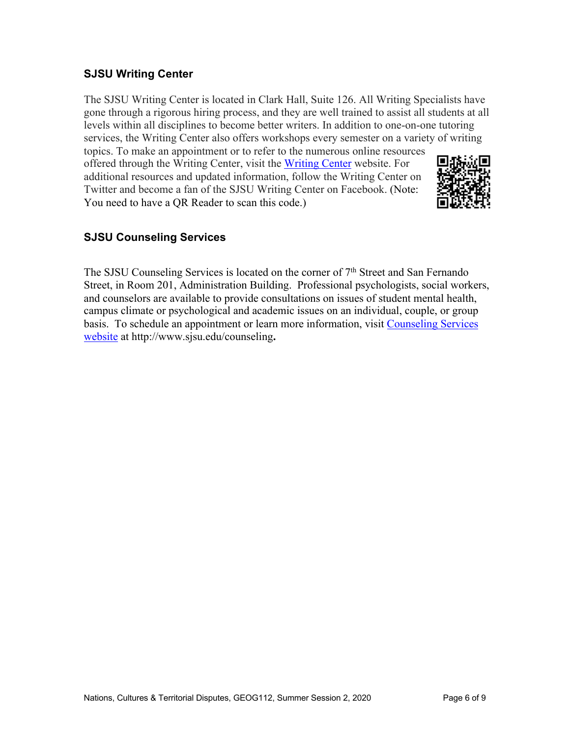## **SJSU Writing Center**

The SJSU Writing Center is located in Clark Hall, Suite 126. All Writing Specialists have gone through a rigorous hiring process, and they are well trained to assist all students at all levels within all disciplines to become better writers. In addition to one-on-one tutoring services, the Writing Center also offers workshops every semester on a variety of writing topics. To make an appointment or to refer to the numerous online resources

offered through the Writing Center, visit the Writing Center website. For additional resources and updated information, follow the Writing Center on Twitter and become a fan of the SJSU Writing Center on Facebook. (Note: You need to have a QR Reader to scan this code.)



# **SJSU Counseling Services**

The SJSU Counseling Services is located on the corner of 7<sup>th</sup> Street and San Fernando Street, in Room 201, Administration Building. Professional psychologists, social workers, and counselors are available to provide consultations on issues of student mental health, campus climate or psychological and academic issues on an individual, couple, or group basis. To schedule an appointment or learn more information, visit Counseling Services website at http://www.sjsu.edu/counseling**.**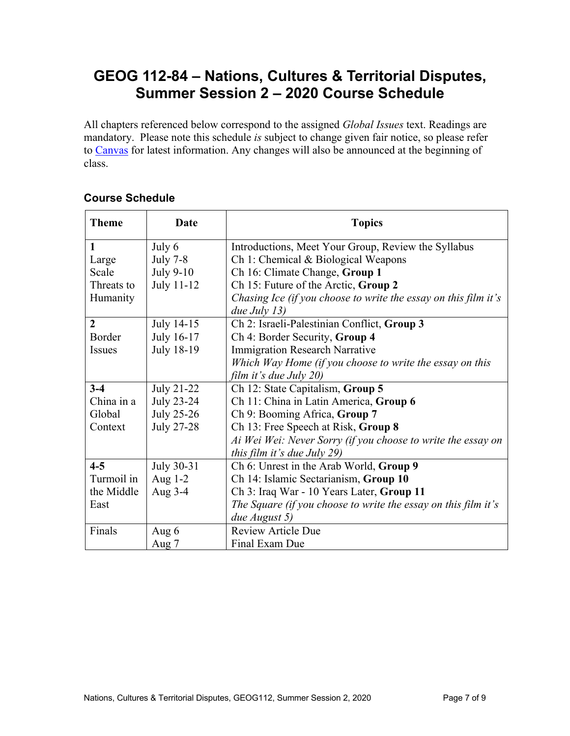# **GEOG 112-84 – Nations, Cultures & Territorial Disputes, Summer Session 2 – 2020 Course Schedule**

All chapters referenced below correspond to the assigned *Global Issues* text. Readings are mandatory. Please note this schedule *is* subject to change given fair notice, so please refer to Canvas for latest information. Any changes will also be announced at the beginning of class.

| <b>Theme</b>   | <b>Date</b>       | <b>Topics</b>                                                   |  |
|----------------|-------------------|-----------------------------------------------------------------|--|
| 1              | July 6            | Introductions, Meet Your Group, Review the Syllabus             |  |
| Large          | <b>July 7-8</b>   | Ch 1: Chemical & Biological Weapons                             |  |
| Scale          | July 9-10         | Ch 16: Climate Change, Group 1                                  |  |
| Threats to     | July 11-12        | Ch 15: Future of the Arctic, Group 2                            |  |
| Humanity       |                   | Chasing Ice (if you choose to write the essay on this film it's |  |
|                |                   | due July $13)$                                                  |  |
| $\overline{2}$ | July 14-15        | Ch 2: Israeli-Palestinian Conflict, Group 3                     |  |
| Border         | July 16-17        | Ch 4: Border Security, Group 4                                  |  |
| <b>Issues</b>  | July 18-19        | <b>Immigration Research Narrative</b>                           |  |
|                |                   | Which Way Home (if you choose to write the essay on this        |  |
|                |                   | film it's due July 20)                                          |  |
| $3-4$          | July 21-22        | Ch 12: State Capitalism, Group 5                                |  |
| China in a     | <b>July 23-24</b> | Ch 11: China in Latin America, Group 6                          |  |
| Global         | <b>July 25-26</b> | Ch 9: Booming Africa, Group 7                                   |  |
| Context        | July 27-28        | Ch 13: Free Speech at Risk, Group 8                             |  |
|                |                   | Ai Wei Wei: Never Sorry (if you choose to write the essay on    |  |
|                |                   | this film it's due July 29)                                     |  |
| $4 - 5$        | July 30-31        | Ch 6: Unrest in the Arab World, Group 9                         |  |
| Turmoil in     | Aug 1-2           | Ch 14: Islamic Sectarianism, Group 10                           |  |
| the Middle     | Aug 3-4           | Ch 3: Iraq War - 10 Years Later, Group 11                       |  |
| East           |                   | The Square (if you choose to write the essay on this film it's  |  |
|                |                   | due August 5)                                                   |  |
| Finals         | Aug 6             | <b>Review Article Due</b>                                       |  |
|                | Aug 7             | Final Exam Due                                                  |  |

# **Course Schedule**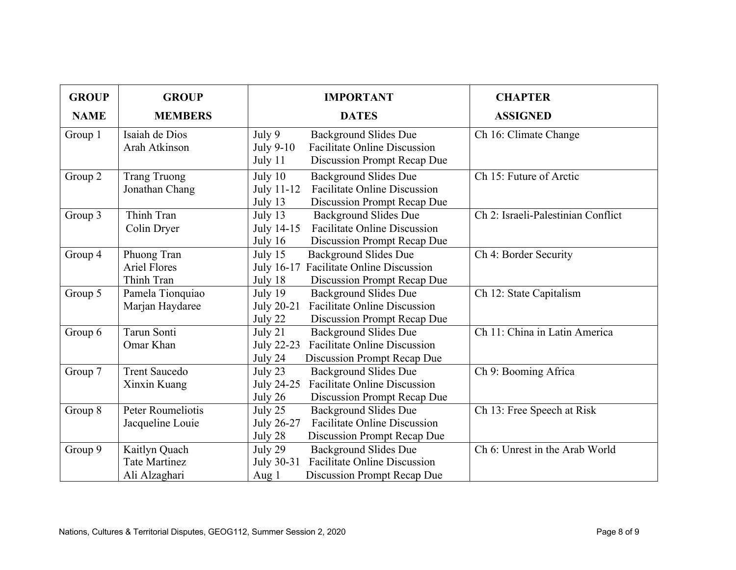| <b>GROUP</b> | <b>GROUP</b>                                           | <b>IMPORTANT</b>                                                                                                                         | <b>CHAPTER</b>                     |
|--------------|--------------------------------------------------------|------------------------------------------------------------------------------------------------------------------------------------------|------------------------------------|
| <b>NAME</b>  | <b>MEMBERS</b>                                         | <b>DATES</b>                                                                                                                             | <b>ASSIGNED</b>                    |
| Group 1      | Isaiah de Dios<br>Arah Atkinson                        | July 9<br><b>Background Slides Due</b><br><b>Facilitate Online Discussion</b><br>July 9-10<br>July 11<br>Discussion Prompt Recap Due     | Ch 16: Climate Change              |
| Group 2      | <b>Trang Truong</b><br>Jonathan Chang                  | July $10$<br><b>Background Slides Due</b><br><b>Facilitate Online Discussion</b><br>July 11-12<br>Discussion Prompt Recap Due<br>July 13 | Ch 15: Future of Arctic            |
| Group 3      | Thinh Tran<br>Colin Dryer                              | July 13<br><b>Background Slides Due</b><br><b>Facilitate Online Discussion</b><br>July 14-15<br>Discussion Prompt Recap Due<br>July 16   | Ch 2: Israeli-Palestinian Conflict |
| Group 4      | Phuong Tran<br><b>Ariel Flores</b><br>Thinh Tran       | July $15$<br>Background Slides Due<br><b>Facilitate Online Discussion</b><br>July 16-17<br>July 18<br>Discussion Prompt Recap Due        | Ch 4: Border Security              |
| Group 5      | Pamela Tionquiao<br>Marjan Haydaree                    | July 19<br>Background Slides Due<br><b>Facilitate Online Discussion</b><br>July 20-21<br>July 22<br>Discussion Prompt Recap Due          | Ch 12: State Capitalism            |
| Group 6      | Tarun Sonti<br>Omar Khan                               | July 21<br><b>Background Slides Due</b><br><b>Facilitate Online Discussion</b><br>July 22-23<br>July 24<br>Discussion Prompt Recap Due   | Ch 11: China in Latin America      |
| Group 7      | <b>Trent Saucedo</b><br>Xinxin Kuang                   | July 23<br><b>Background Slides Due</b><br><b>Facilitate Online Discussion</b><br>July 24-25<br>July 26<br>Discussion Prompt Recap Due   | Ch 9: Booming Africa               |
| Group 8      | Peter Roumeliotis<br>Jacqueline Louie                  | July 25<br><b>Background Slides Due</b><br><b>Facilitate Online Discussion</b><br>July 26-27<br>July 28<br>Discussion Prompt Recap Due   | Ch 13: Free Speech at Risk         |
| Group 9      | Kaitlyn Quach<br><b>Tate Martinez</b><br>Ali Alzaghari | July 29<br><b>Background Slides Due</b><br><b>Facilitate Online Discussion</b><br>July 30-31<br>Discussion Prompt Recap Due<br>Aug 1     | Ch 6: Unrest in the Arab World     |